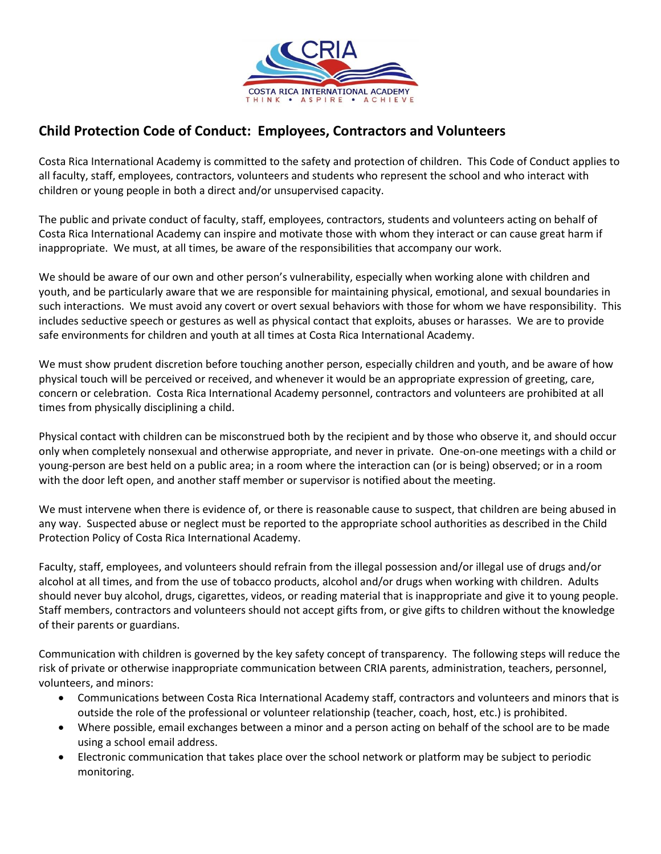

## **Child Protection Code of Conduct: Employees, Contractors and Volunteers**

Costa Rica International Academy is committed to the safety and protection of children. This Code of Conduct applies to all faculty, staff, employees, contractors, volunteers and students who represent the school and who interact with children or young people in both a direct and/or unsupervised capacity.

The public and private conduct of faculty, staff, employees, contractors, students and volunteers acting on behalf of Costa Rica International Academy can inspire and motivate those with whom they interact or can cause great harm if inappropriate. We must, at all times, be aware of the responsibilities that accompany our work.

We should be aware of our own and other person's vulnerability, especially when working alone with children and youth, and be particularly aware that we are responsible for maintaining physical, emotional, and sexual boundaries in such interactions. We must avoid any covert or overt sexual behaviors with those for whom we have responsibility. This includes seductive speech or gestures as well as physical contact that exploits, abuses or harasses. We are to provide safe environments for children and youth at all times at Costa Rica International Academy.

We must show prudent discretion before touching another person, especially children and youth, and be aware of how physical touch will be perceived or received, and whenever it would be an appropriate expression of greeting, care, concern or celebration. Costa Rica International Academy personnel, contractors and volunteers are prohibited at all times from physically disciplining a child.

Physical contact with children can be misconstrued both by the recipient and by those who observe it, and should occur only when completely nonsexual and otherwise appropriate, and never in private. One-on-one meetings with a child or young-person are best held on a public area; in a room where the interaction can (or is being) observed; or in a room with the door left open, and another staff member or supervisor is notified about the meeting.

We must intervene when there is evidence of, or there is reasonable cause to suspect, that children are being abused in any way. Suspected abuse or neglect must be reported to the appropriate school authorities as described in the Child Protection Policy of Costa Rica International Academy.

Faculty, staff, employees, and volunteers should refrain from the illegal possession and/or illegal use of drugs and/or alcohol at all times, and from the use of tobacco products, alcohol and/or drugs when working with children. Adults should never buy alcohol, drugs, cigarettes, videos, or reading material that is inappropriate and give it to young people. Staff members, contractors and volunteers should not accept gifts from, or give gifts to children without the knowledge of their parents or guardians.

Communication with children is governed by the key safety concept of transparency. The following steps will reduce the risk of private or otherwise inappropriate communication between CRIA parents, administration, teachers, personnel, volunteers, and minors:

- Communications between Costa Rica International Academy staff, contractors and volunteers and minors that is outside the role of the professional or volunteer relationship (teacher, coach, host, etc.) is prohibited.
- Where possible, email exchanges between a minor and a person acting on behalf of the school are to be made using a school email address.
- Electronic communication that takes place over the school network or platform may be subject to periodic monitoring.